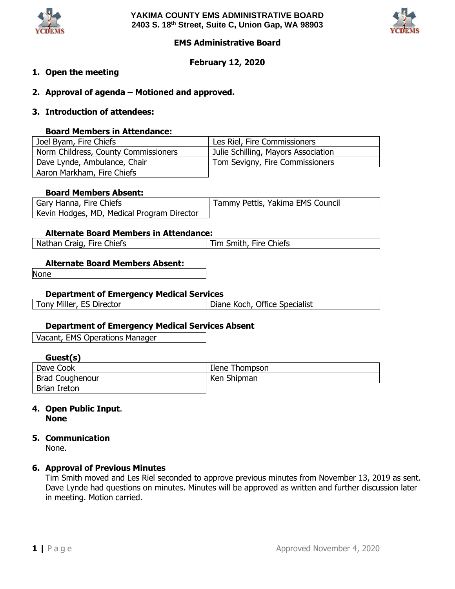



### **EMS Administrative Board**

### **February 12, 2020**

### **1. Open the meeting**

- **2. Approval of agenda – Motioned and approved.**
- **3. Introduction of attendees:**

### **Board Members in Attendance:**

| Joel Byam, Fire Chiefs               | Les Riel, Fire Commissioners        |
|--------------------------------------|-------------------------------------|
| Norm Childress, County Commissioners | Julie Schilling, Mayors Association |
| Dave Lynde, Ambulance, Chair         | Tom Sevigny, Fire Commissioners     |
| Aaron Markham, Fire Chiefs           |                                     |

### **Board Members Absent:**

| Gary Hanna, Fire Chiefs                    | Tammy Pettis, Yakima EMS Council |
|--------------------------------------------|----------------------------------|
| Kevin Hodges, MD, Medical Program Director |                                  |

### **Alternate Board Members in Attendance:**

| Nathan Craig, Fire Chiefs | Fire Chiefs<br>Smith,<br>™⊺ |
|---------------------------|-----------------------------|
|                           |                             |

#### **Alternate Board Members Absent:**

None

### **Department of Emergency Medical Services**

| Tony Miller, ES Director | Diane Koch, Office Specialist |  |
|--------------------------|-------------------------------|--|
|                          |                               |  |

### **Department of Emergency Medical Services Absent**

Vacant, EMS Operations Manager

### **Guest(s)**

| Dave Cook       | Ilene Thompson |
|-----------------|----------------|
| Brad Coughenour | Ken Shipman    |
| Brian Ireton    |                |

### **4. Open Public Input**. **None**

## **5. Communication**

None.

### **6. Approval of Previous Minutes**

Tim Smith moved and Les Riel seconded to approve previous minutes from November 13, 2019 as sent. Dave Lynde had questions on minutes. Minutes will be approved as written and further discussion later in meeting. Motion carried.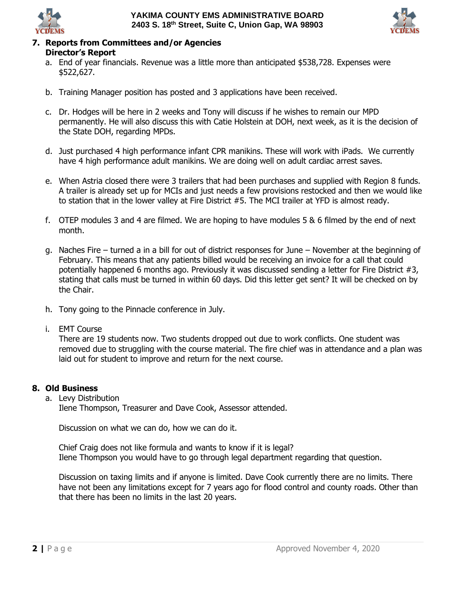



# **7. Reports from Committees and/or Agencies**

## **Director's Report**

- a. End of year financials. Revenue was a little more than anticipated \$538,728. Expenses were \$522,627.
- b. Training Manager position has posted and 3 applications have been received.
- c. Dr. Hodges will be here in 2 weeks and Tony will discuss if he wishes to remain our MPD permanently. He will also discuss this with Catie Holstein at DOH, next week, as it is the decision of the State DOH, regarding MPDs.
- d. Just purchased 4 high performance infant CPR manikins. These will work with iPads. We currently have 4 high performance adult manikins. We are doing well on adult cardiac arrest saves.
- e. When Astria closed there were 3 trailers that had been purchases and supplied with Region 8 funds. A trailer is already set up for MCIs and just needs a few provisions restocked and then we would like to station that in the lower valley at Fire District #5. The MCI trailer at YFD is almost ready.
- f. OTEP modules 3 and 4 are filmed. We are hoping to have modules 5 & 6 filmed by the end of next month.
- g. Naches Fire turned a in a bill for out of district responses for June November at the beginning of February. This means that any patients billed would be receiving an invoice for a call that could potentially happened 6 months ago. Previously it was discussed sending a letter for Fire District #3, stating that calls must be turned in within 60 days. Did this letter get sent? It will be checked on by the Chair.
- h. Tony going to the Pinnacle conference in July.
- i. EMT Course

There are 19 students now. Two students dropped out due to work conflicts. One student was removed due to struggling with the course material. The fire chief was in attendance and a plan was laid out for student to improve and return for the next course.

## **8. Old Business**

a. Levy Distribution

Ilene Thompson, Treasurer and Dave Cook, Assessor attended.

Discussion on what we can do, how we can do it.

Chief Craig does not like formula and wants to know if it is legal? Ilene Thompson you would have to go through legal department regarding that question.

Discussion on taxing limits and if anyone is limited. Dave Cook currently there are no limits. There have not been any limitations except for 7 years ago for flood control and county roads. Other than that there has been no limits in the last 20 years.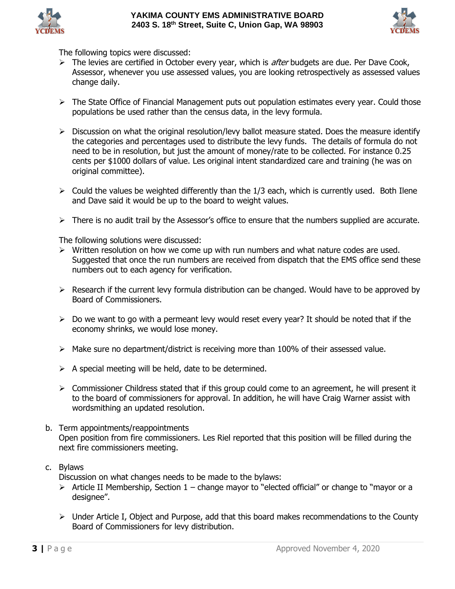



The following topics were discussed:

- $\triangleright$  The levies are certified in October every year, which is *after* budgets are due. Per Dave Cook, Assessor, whenever you use assessed values, you are looking retrospectively as assessed values change daily.
- ➢ The State Office of Financial Management puts out population estimates every year. Could those populations be used rather than the census data, in the levy formula.
- $\triangleright$  Discussion on what the original resolution/levy ballot measure stated. Does the measure identify the categories and percentages used to distribute the levy funds. The details of formula do not need to be in resolution, but just the amount of money/rate to be collected. For instance 0.25 cents per \$1000 dollars of value. Les original intent standardized care and training (he was on original committee).
- $\triangleright$  Could the values be weighted differently than the 1/3 each, which is currently used. Both Ilene and Dave said it would be up to the board to weight values.
- ➢ There is no audit trail by the Assessor's office to ensure that the numbers supplied are accurate.

The following solutions were discussed:

- ➢ Written resolution on how we come up with run numbers and what nature codes are used. Suggested that once the run numbers are received from dispatch that the EMS office send these numbers out to each agency for verification.
- $\triangleright$  Research if the current levy formula distribution can be changed. Would have to be approved by Board of Commissioners.
- $\triangleright$  Do we want to go with a permeant levy would reset every year? It should be noted that if the economy shrinks, we would lose money.
- $\triangleright$  Make sure no department/district is receiving more than 100% of their assessed value.
- $\triangleright$  A special meeting will be held, date to be determined.
- ➢ Commissioner Childress stated that if this group could come to an agreement, he will present it to the board of commissioners for approval. In addition, he will have Craig Warner assist with wordsmithing an updated resolution.
- b. Term appointments/reappointments Open position from fire commissioners. Les Riel reported that this position will be filled during the next fire commissioners meeting.

### c. Bylaws

Discussion on what changes needs to be made to the bylaws:

- $\triangleright$  Article II Membership, Section 1 change mayor to "elected official" or change to "mayor or a designee".
- ➢ Under Article I, Object and Purpose, add that this board makes recommendations to the County Board of Commissioners for levy distribution.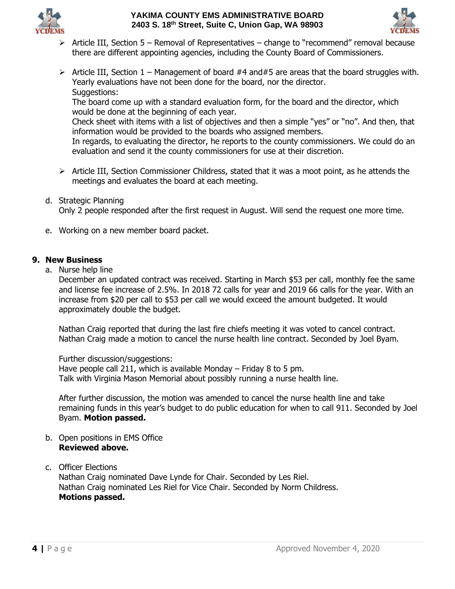



- ➢ Article III, Section 5 Removal of Representatives change to "recommend" removal because there are different appointing agencies, including the County Board of Commissioners.
- $\triangleright$  Article III, Section 1 Management of board #4 and #5 are areas that the board struggles with. Yearly evaluations have not been done for the board, nor the director. Suggestions:

The board come up with a standard evaluation form, for the board and the director, which would be done at the beginning of each year.

Check sheet with items with a list of objectives and then a simple "yes" or "no". And then, that information would be provided to the boards who assigned members.

In regards, to evaluating the director, he reports to the county commissioners. We could do an evaluation and send it the county commissioners for use at their discretion.

- ➢ Article III, Section Commissioner Childress, stated that it was a moot point, as he attends the meetings and evaluates the board at each meeting.
- d. Strategic Planning

Only 2 people responded after the first request in August. Will send the request one more time.

e. Working on a new member board packet.

## **9. New Business**

a. Nurse help line

December an updated contract was received. Starting in March \$53 per call, monthly fee the same and license fee increase of 2.5%. In 2018 72 calls for year and 2019 66 calls for the year. With an increase from \$20 per call to \$53 per call we would exceed the amount budgeted. It would approximately double the budget.

Nathan Craig reported that during the last fire chiefs meeting it was voted to cancel contract. Nathan Craig made a motion to cancel the nurse health line contract. Seconded by Joel Byam.

Further discussion/suggestions: Have people call 211, which is available Monday – Friday 8 to 5 pm. Talk with Virginia Mason Memorial about possibly running a nurse health line.

After further discussion, the motion was amended to cancel the nurse health line and take remaining funds in this year's budget to do public education for when to call 911. Seconded by Joel Byam. **Motion passed.**

b. Open positions in EMS Office **Reviewed above.**

## c. Officer Elections

Nathan Craig nominated Dave Lynde for Chair. Seconded by Les Riel. Nathan Craig nominated Les Riel for Vice Chair. Seconded by Norm Childress. **Motions passed.**